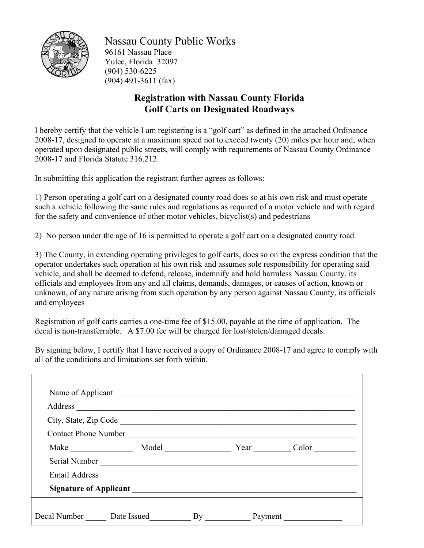

Nassau County Public Works 96161 Nassau Place Yulee, Florida 32097 (904) 530-6225 (904) 491-3611 (fax)

# **Registration with Nassau County Florida Golf Carts on Designated Roadways**

I hereby certify that the vehicle I am registering is a "golf cart" as defined in the attached Ordinance 2008-17, designed to operate at a maximum speed not to exceed twenty (20) miles per hour and, when operated upon designated public streets, will comply with requirements of Nassau County Ordinance 2008-17 and Florida Statute 316.212.

In submitting this application the registrant further agrees as follows:

1) Person operating a golf cart on a designated county road does so at his own risk and must operate such a vehicle following the same rules and regulations as required of a motor vehicle and with regard for the safety and convenience of other motor vehicles, bicyclist(s) and pedestrians

2) No person under the age of 16 is permitted to operate a golf cart on a designated county road

3) The County, in extending operating privileges to golf carts, does so on the express condition that the operator undertakes such operation at his own risk and assumes sole responsibility for operating said vehicle, and shall be deemed to defend, release, indemnify and hold harmless Nassau County, its officials and employees from any and all claims, demands, damages, or causes of action, known or unknown, of any nature arising from such operation by any person against Nassau County, its officials and employees

Registration of golf carts carries a one-time fee of \$15.00, payable at the time of application. The decal is non-transferrable. A \$7.00 fee will be charged for lost/stolen/damaged decals.

By signing below, I certify that I have received a copy of Ordinance 2008-17 and agree to comply with all of the conditions and limitations set forth within.

|              | Name of Applicant                                                                                                                                                                                                              |       |            |       |
|--------------|--------------------------------------------------------------------------------------------------------------------------------------------------------------------------------------------------------------------------------|-------|------------|-------|
|              | Address and the contract of the contract of the contract of the contract of the contract of the contract of the contract of the contract of the contract of the contract of the contract of the contract of the contract of th |       |            |       |
|              |                                                                                                                                                                                                                                |       |            |       |
|              | Contact Phone Number                                                                                                                                                                                                           |       |            |       |
| $Make \_\_$  |                                                                                                                                                                                                                                |       | Model Year | Color |
|              | Serial Number                                                                                                                                                                                                                  |       |            |       |
|              | Email Address and a contract of the contract of the contract of the contract of the contract of the contract of the contract of the contract of the contract of the contract of the contract of the contract of the contract o |       |            |       |
|              |                                                                                                                                                                                                                                |       |            |       |
|              |                                                                                                                                                                                                                                |       |            |       |
| Decal Number | Date Issued                                                                                                                                                                                                                    | $By_$ | Payment    |       |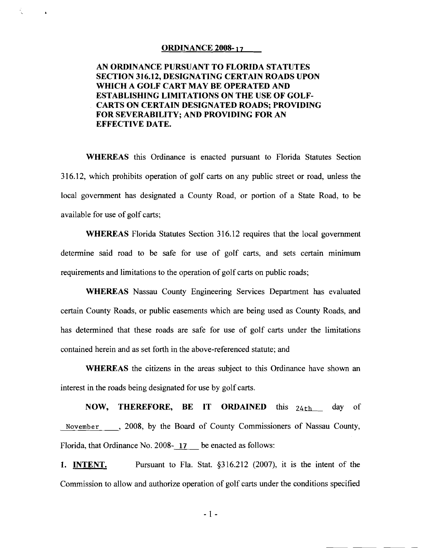#### **ORDINANCE 2008- 1 7**

र्वे

 $\Delta$ 

# **AN ORDINANCE PURSUANT TO FLORIDA STATUTES SECTION 316.12, DESIGNATING CERTAIN ROADS UPON WHICH A GOLF CART MAY BE OPERATED AND ESTABLISHING LIMITATIONS ON THE USE OF GOLF-CARTS ON CERTAIN DESIGNATED ROADS; PROVIDING FOR SEVERABILITY; AND PROVIDING FOR AN EFFECTIVE DATE.**

**WHEREAS** this Ordinance is enacted pursuant to Florida Statutes Section 3 16.12, which prohibits operation of golf carts on any public street or road, unless the local government has designated a County Road, or portion of a State Road, to be available for use of golf carts;

**WHEREAS** Florida Statutes Section 316.12 requires that the local government determine said road to be safe for use of golf carts, and sets certain minimum requirements and limitations to the operation of golf carts on public roads;

**WHEREAS** Nassau County Engineering Services Department has evaluated certain County Roads, or public easements which are being used as County Roads, and has determined that these roads are safe for use of golf carts under the limitations contained herein and as set forth in the above-referenced statute; and

**WHEREAS** the citizens in the areas subject to this Ordinance have shown an interest in the roads being designated for use by golf carts.

**NOW, THEREFORE, BE IT ORDAINED** this  $_{24\text{th}}$  day of November , 2008, by the Board of County Commissioners of Nassau County, Florida, that Ordinance No. 2008- 17 be enacted as follows:

**1. INTENT.** Pursuant to Fla. Stat. §316.212 (2007), it is the intent of the Commission to allow and authorize operation of golf carts under the conditions specified

 $-1-$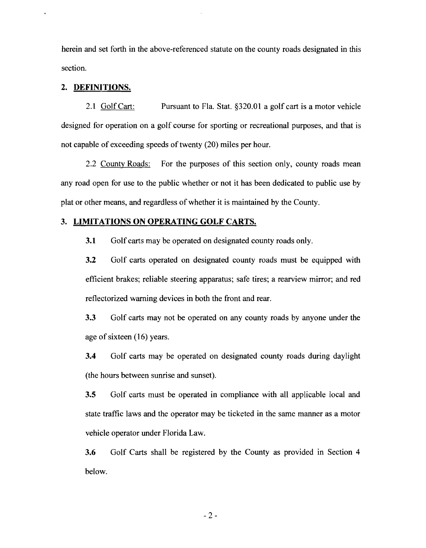herein and set forth in the above-referenced statute on the county roads designated in this section.

#### **2. DEFINITIONS.**

2.1 Golf Cart: Pursuant to Fla. Stat. 5320.01 a golf cart is a motor vehicle designed for operation on a golf course for sporting or recreational purposes, and that is not capable of exceeding speeds of twenty (20) miles per hour.

2.2 County Roads: For the purposes of this section only, county roads mean any road open for use to the public whether or not it has been dedicated to public use by plat or other means, and regardless of whether it is maintained by the County.

#### **3. LIMITATIONS ON OPERATING GOLF CARTS.**

**3.1** Golf carts may be operated on designated county roads only.

**3.2** Golf carts operated on designated county roads must be equipped with efficient brakes; reliable steering apparatus; safe tires; a rearview mirror; and red reflectorized warning devices in both the front and rear.

**3.3** Golf carts may not be operated on any county roads by anyone under the age of sixteen  $(16)$  years.

**3.4** Golf carts may be operated on designated county roads during daylight (the hours between sunrise and sunset).

3.5 Golf carts must be operated in compliance with all applicable local and state traffic laws and the operator may be ticketed in the same manner as a motor vehicle operator under Florida Law.

**3.6** Golf Carts shall be registered by the County as provided in Section 4 below.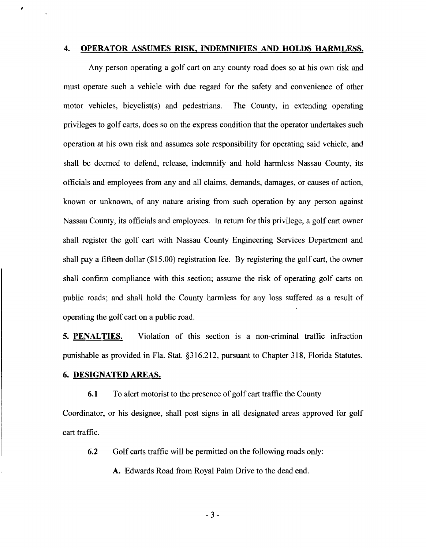#### **4. OPERATOR ASSUMES RISK, INDEMNIFIES AND HOLDS HARMLESS.**

Any person operating a golf cart on any county road does so at his own risk and must operate such a vehicle with due regard for the safety and convenience of other motor vehicles, bicyclist(s) and pedestrians. The County, in extending operating privileges to golf carts, does so on the express condition that the operator undertakes such operation at his own risk and assumes sole responsibility for operating said vehicle, and shall be deemed to defend, release, indemnify and hold harmless Nassau County, its officials and employees from any and all claims, demands, damages, or causes of action, known or unknown, of any nature arising from such operation by any person against Nassau County, its officials and employees. In return for this privilege, a golf cart owner shall register the golf cart with Nassau County Engineering Services Department and shall pay a fifteen dollar (\$1 5.00) registration fee. By registering the golf cart, the owner shall confirm compliance with this section; assume the risk of operating golf carts on public roads; and shall hold the County harmless for any loss suffered as a result of operating the golf cart on a public road.

5. **PENALTIES.** Violation of this section is a non-criminal traffic infraction punishable as provided in Fla. Stat. **\$3** 16.2 12, pursuant to Chapter 3 18, Florida Statutes.

## **6. DESIGNATED AREAS.**

 $\mathbf{r}$ 

**6.1** To alert motorist to the presence of golf cart traffic the County

Coordinator, or his designee, shall post signs in all designated areas approved for golf cart traffic.

6.2 Golf carts traffic will be permitted on the following roads only:

**A.** Edwards Road from Royal Palm Drive to the dead end.

 $-3-$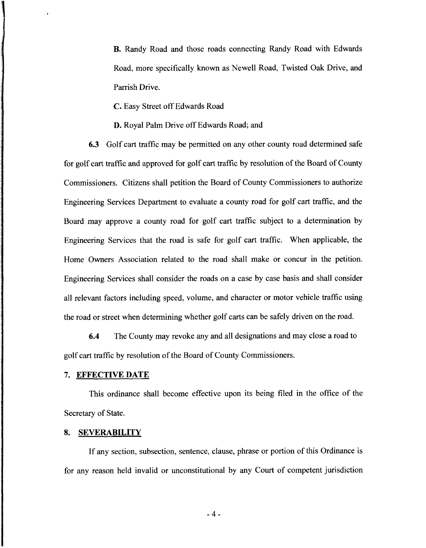**B.** Randy Road and those roads connecting Randy Road with Edwards Road, more specifically known as Newel1 Road, Twisted Oak Drive, and Parrish Drive.

**C.** Easy Street off Edwards Road

D. Royal Palm Drive off Edwards Road; and

**6.3** Golf cart traffic may be permitted on any other county road determined safe for golf cart traffic and approved for golf cart traffic by resolution of the Board of County Commissioners. Citizens shall petition the Board of County Commissioners to authorize Engineering Services Department to evaluate a county road for golf cart traffic, and the Board may approve a county road for golf cart traffic subject to a determination by Engineering Services that the road is safe for golf cart traffic. When applicable, the Home Owners Association related to the road shall make or concur in the petition. Engineering Services shall consider the roads on a case by case basis and shall consider all relevant factors including speed, volume, and character or motor vehicle traffic using the road or street when determining whether golf carts can be safely driven on the road.

**6.4** The County may revoke any and all designations and may close a road to golf cart traffic by resolution of the Board of County Commissioners.

## **7. EFFECTIVE DATE**

This ordinance shall become effective upon its being filed in the office of the Secretary of State.

#### **8. SEVERABILITY**

If any section, subsection, sentence, clause, phrase or portion of this Ordinance is for any reason held invalid or unconstitutional by any Court of competent jurisdiction